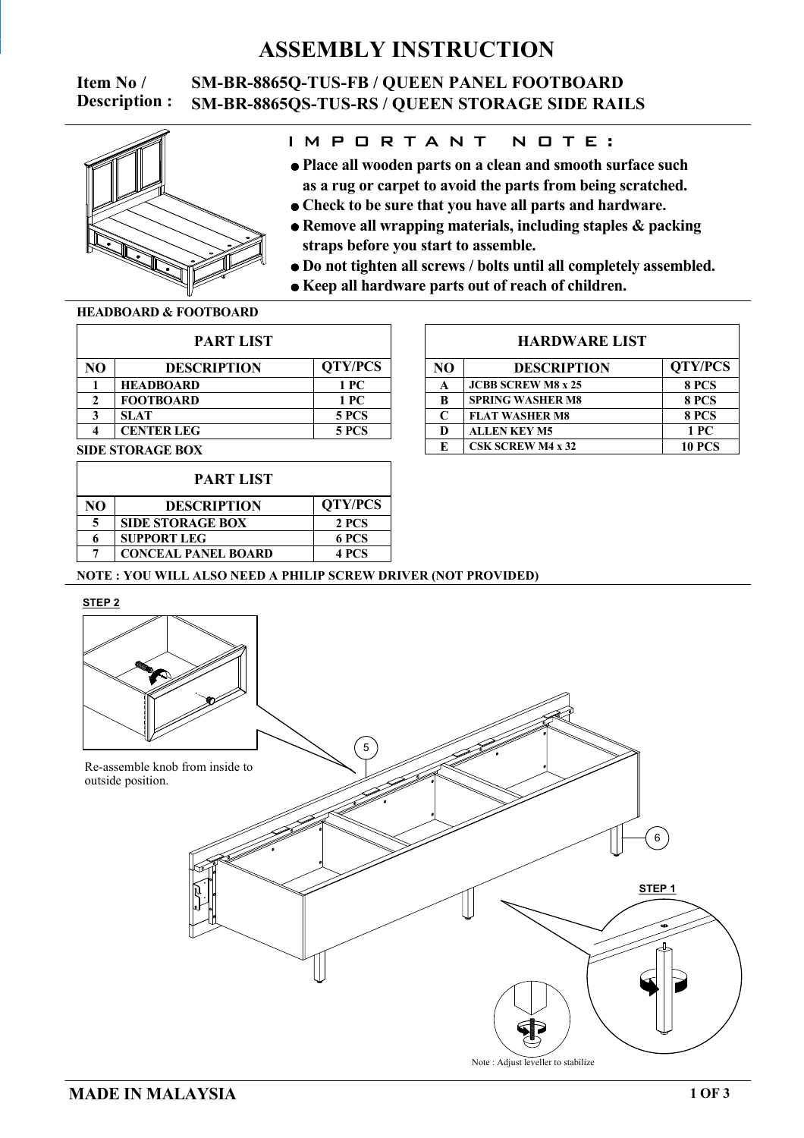## **ASSEMBLY INSTRUCTION**

**Description :**

### **Item No / SM-BR-8865Q-TUS-FB / QUEEN PANEL FOOTBOARD SM-BR-8865QS-TUS-RS / QUEEN STORAGE SIDE RAILS**



### I M P O R T A N T N O T E :

- **as a rug or carpet to avoid the parts from being scratched. Place all wooden parts on a clean and smooth surface such**
- **Check to be sure that you have all parts and hardware.**
- **straps before you start to assemble. Remove all wrapping materials, including staples & packing**
- **Do not tighten all screws / bolts until all completely assembled.**
- **Keep all hardware parts out of reach of children.**

#### **HEADBOARD & FOOTBOARD**

| <b>PART LIST</b> |                    |                |  |  |
|------------------|--------------------|----------------|--|--|
| NΟ               | <b>DESCRIPTION</b> | <b>QTY/PCS</b> |  |  |
|                  | <b>HEADBOARD</b>   | 1 PC           |  |  |
|                  | <b>FOOTBOARD</b>   | 1 PC           |  |  |
| 2                | <b>SLAT</b>        | 5 PCS          |  |  |
|                  | <b>CENTER LEG</b>  | <b>5 PCS</b>   |  |  |
|                  |                    |                |  |  |

#### **SIDE STORAGE BOX**

| <b>PART LIST</b> |                            |                |  |
|------------------|----------------------------|----------------|--|
| NΟ               | <b>DESCRIPTION</b>         | <b>QTY/PCS</b> |  |
| 5                | <b>SIDE STORAGE BOX</b>    | 2 PCS          |  |
| 6                | <b>SUPPORT LEG</b>         | 6 PCS          |  |
|                  | <b>CONCEAL PANEL BOARD</b> | 4 PCS          |  |

#### **HARDWARE LIST**

| NO           | <b>DESCRIPTION</b>        | <b>QTY/PCS</b> |  |
|--------------|---------------------------|----------------|--|
| A            | <b>JCBB SCREW M8 x 25</b> | 8 PCS          |  |
| R            | <b>SPRING WASHER M8</b>   | 8 PCS          |  |
| $\mathsf{C}$ | <b>FLAT WASHER M8</b>     | 8 PCS          |  |
| D            | <b>ALLEN KEY M5</b>       | 1PC            |  |
| E            | <b>CSK SCREW M4 x 32</b>  | <b>10 PCS</b>  |  |

#### **NOTE : YOU WILL ALSO NEED A PHILIP SCREW DRIVER (NOT PROVIDED)**



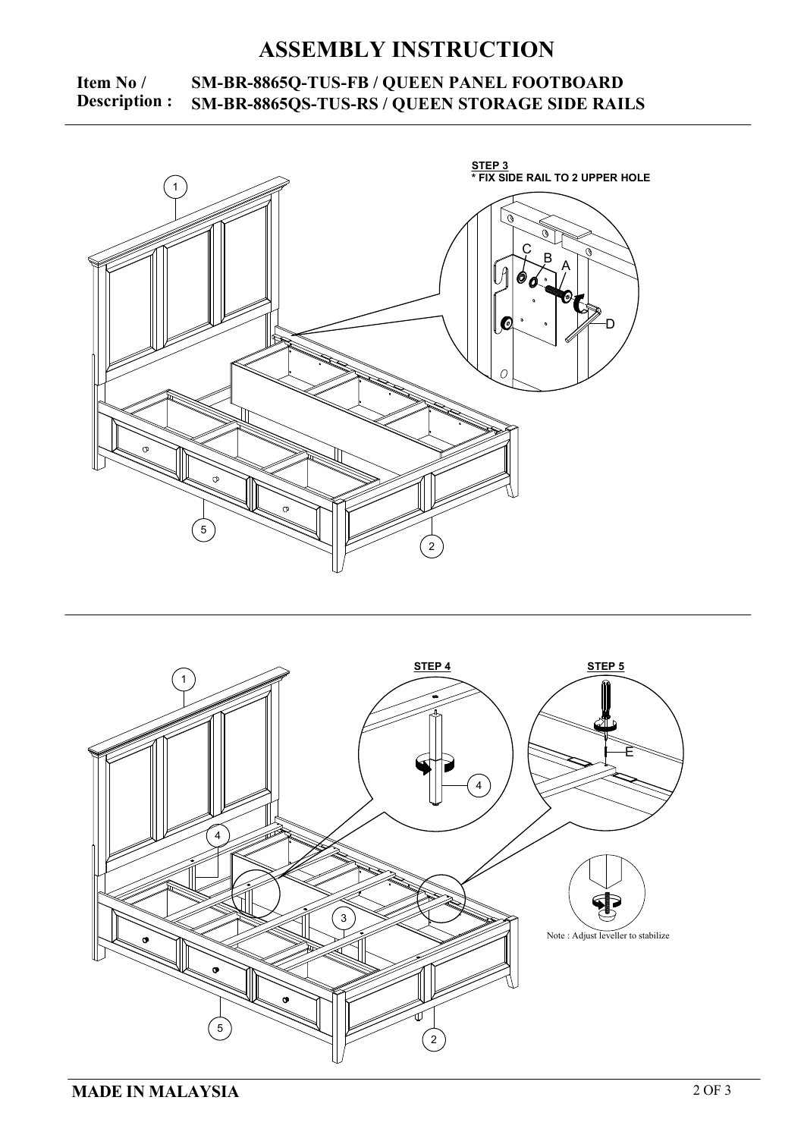# **ASSEMBLY INSTRUCTION**

### **Item No** / **SM-BR-8865Q-TUS-FB** / **QUEEN PANEL FOOTBOARD**<br>**Description :** SM-BR-8865OS-TUS-RS / OUEEN STORAGE SIDE RAIL **Description : SM-BR-8865QS-TUS-RS / QUEEN STORAGE SIDE RAILS**